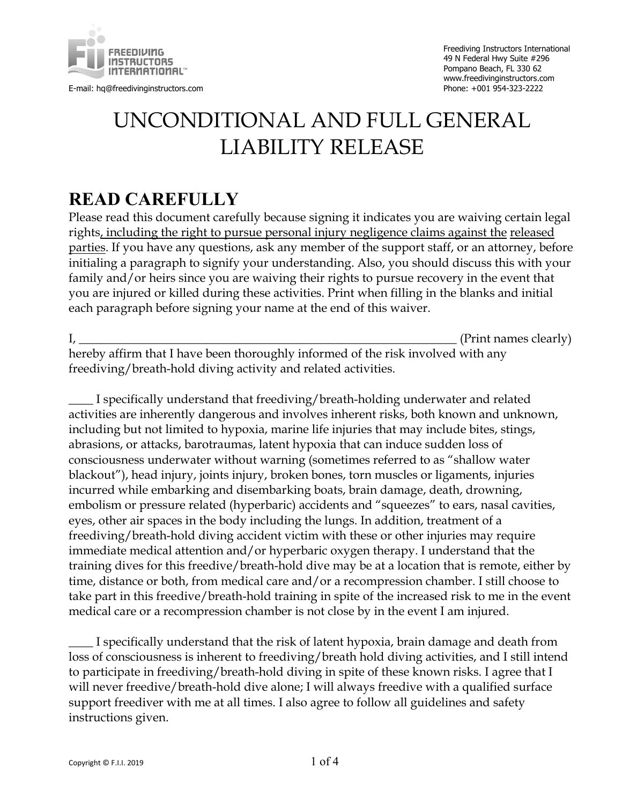

E-mail: hq@freedivinginstructors.com

## UNCONDITIONAL AND FULL GENERAL LIABILITY RELEASE

## **READ CAREFULLY**

Please read this document carefully because signing it indicates you are waiving certain legal rights, including the right to pursue personal injury negligence claims against the released parties. If you have any questions, ask any member of the support staff, or an attorney, before initialing a paragraph to signify your understanding. Also, you should discuss this with your family and/or heirs since you are waiving their rights to pursue recovery in the event that you are injured or killed during these activities. Print when filling in the blanks and initial each paragraph before signing your name at the end of this waiver.

I, the contract of the contract of the contract of the contract of the contract of the contract of the contract of the contract of the contract of the contract of the contract of the contract of the contract of the contrac

hereby affirm that I have been thoroughly informed of the risk involved with any freediving/breath-hold diving activity and related activities.

\_\_\_\_ I specifically understand that freediving/breath-holding underwater and related activities are inherently dangerous and involves inherent risks, both known and unknown, including but not limited to hypoxia, marine life injuries that may include bites, stings, abrasions, or attacks, barotraumas, latent hypoxia that can induce sudden loss of consciousness underwater without warning (sometimes referred to as "shallow water blackout"), head injury, joints injury, broken bones, torn muscles or ligaments, injuries incurred while embarking and disembarking boats, brain damage, death, drowning, embolism or pressure related (hyperbaric) accidents and "squeezes" to ears, nasal cavities, eyes, other air spaces in the body including the lungs. In addition, treatment of a freediving/breath-hold diving accident victim with these or other injuries may require immediate medical attention and/or hyperbaric oxygen therapy. I understand that the training dives for this freedive/breath-hold dive may be at a location that is remote, either by time, distance or both, from medical care and/or a recompression chamber. I still choose to take part in this freedive/breath-hold training in spite of the increased risk to me in the event medical care or a recompression chamber is not close by in the event I am injured.

I specifically understand that the risk of latent hypoxia, brain damage and death from loss of consciousness is inherent to freediving/breath hold diving activities, and I still intend to participate in freediving/breath-hold diving in spite of these known risks. I agree that I will never freedive/breath-hold dive alone; I will always freedive with a qualified surface support freediver with me at all times. I also agree to follow all guidelines and safety instructions given.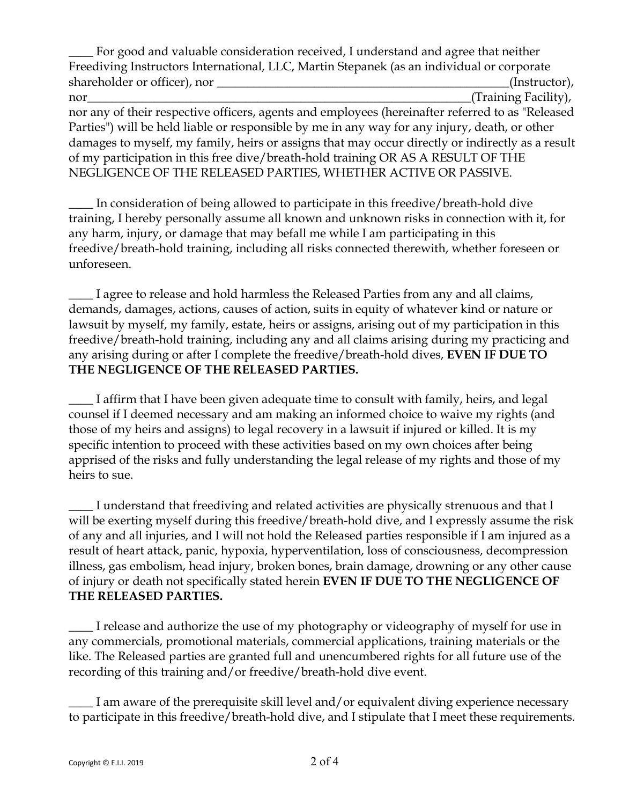For good and valuable consideration received, I understand and agree that neither Freediving Instructors International, LLC, Martin Stepanek (as an individual or corporate shareholder or officer), nor \_\_\_\_\_\_\_\_\_\_\_\_\_\_\_\_\_\_\_\_\_\_\_\_\_\_\_\_\_\_\_\_\_\_\_\_\_\_\_\_\_\_\_\_\_\_\_\_(Instructor), nor\_\_\_\_\_\_\_\_\_\_\_\_\_\_\_\_\_\_\_\_\_\_\_\_\_\_\_\_\_\_\_\_\_\_\_\_\_\_\_\_\_\_\_\_\_\_\_\_\_\_\_\_\_\_\_\_\_\_\_\_\_\_\_(Training Facility), nor any of their respective officers, agents and employees (hereinafter referred to as "Released Parties") will be held liable or responsible by me in any way for any injury, death, or other damages to myself, my family, heirs or assigns that may occur directly or indirectly as a result of my participation in this free dive/breath-hold training OR AS A RESULT OF THE NEGLIGENCE OF THE RELEASED PARTIES, WHETHER ACTIVE OR PASSIVE.

In consideration of being allowed to participate in this freedive/breath-hold dive training, I hereby personally assume all known and unknown risks in connection with it, for any harm, injury, or damage that may befall me while I am participating in this freedive/breath-hold training, including all risks connected therewith, whether foreseen or unforeseen.

\_\_\_\_ I agree to release and hold harmless the Released Parties from any and all claims, demands, damages, actions, causes of action, suits in equity of whatever kind or nature or lawsuit by myself, my family, estate, heirs or assigns, arising out of my participation in this freedive/breath-hold training, including any and all claims arising during my practicing and any arising during or after I complete the freedive/breath-hold dives, **EVEN IF DUE TO THE NEGLIGENCE OF THE RELEASED PARTIES.**

**\_\_\_\_** I affirm that I have been given adequate time to consult with family, heirs, and legal counsel if I deemed necessary and am making an informed choice to waive my rights (and those of my heirs and assigns) to legal recovery in a lawsuit if injured or killed. It is my specific intention to proceed with these activities based on my own choices after being apprised of the risks and fully understanding the legal release of my rights and those of my heirs to sue.

\_\_\_\_ I understand that freediving and related activities are physically strenuous and that I will be exerting myself during this freedive/breath-hold dive, and I expressly assume the risk of any and all injuries, and I will not hold the Released parties responsible if I am injured as a result of heart attack, panic, hypoxia, hyperventilation, loss of consciousness, decompression illness, gas embolism, head injury, broken bones, brain damage, drowning or any other cause of injury or death not specifically stated herein **EVEN IF DUE TO THE NEGLIGENCE OF THE RELEASED PARTIES.**

I release and authorize the use of my photography or videography of myself for use in any commercials, promotional materials, commercial applications, training materials or the like. The Released parties are granted full and unencumbered rights for all future use of the recording of this training and/or freedive/breath-hold dive event.

\_\_\_\_ I am aware of the prerequisite skill level and/or equivalent diving experience necessary to participate in this freedive/breath-hold dive, and I stipulate that I meet these requirements.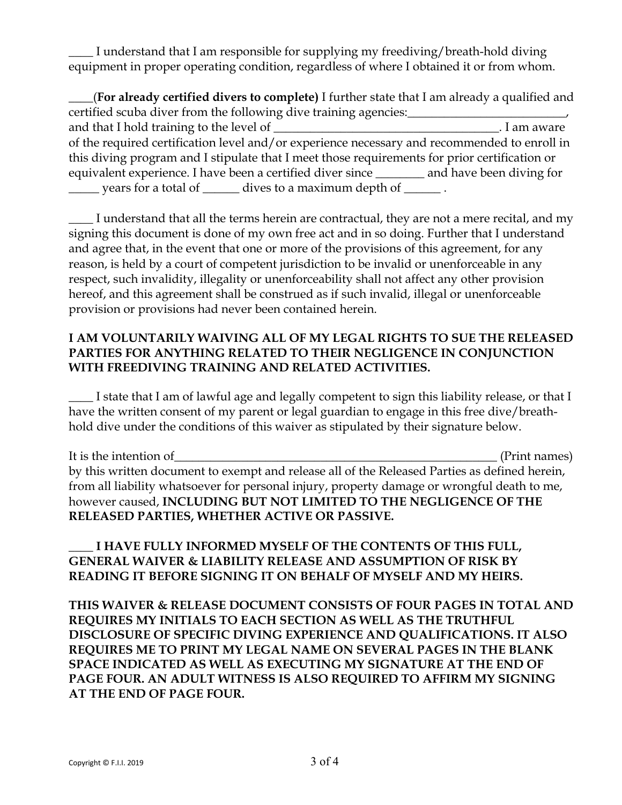\_\_\_\_ I understand that I am responsible for supplying my freediving/breath-hold diving equipment in proper operating condition, regardless of where I obtained it or from whom.

\_\_\_\_(**For already certified divers to complete)** I further state that I am already a qualified and certified scuba diver from the following dive training agencies: and that I hold training to the level of \_\_\_\_\_\_\_\_\_\_\_\_\_\_\_\_\_\_\_\_\_\_\_\_\_\_\_\_\_\_\_\_\_\_\_\_\_. I am aware of the required certification level and/or experience necessary and recommended to enroll in this diving program and I stipulate that I meet those requirements for prior certification or equivalent experience. I have been a certified diver since \_\_\_\_\_\_\_\_ and have been diving for \_\_\_\_\_ years for a total of \_\_\_\_\_\_ dives to a maximum depth of \_\_\_\_\_\_ .

\_\_\_\_ I understand that all the terms herein are contractual, they are not a mere recital, and my signing this document is done of my own free act and in so doing. Further that I understand and agree that, in the event that one or more of the provisions of this agreement, for any reason, is held by a court of competent jurisdiction to be invalid or unenforceable in any respect, such invalidity, illegality or unenforceability shall not affect any other provision hereof, and this agreement shall be construed as if such invalid, illegal or unenforceable provision or provisions had never been contained herein.

## **I AM VOLUNTARILY WAIVING ALL OF MY LEGAL RIGHTS TO SUE THE RELEASED PARTIES FOR ANYTHING RELATED TO THEIR NEGLIGENCE IN CONJUNCTION WITH FREEDIVING TRAINING AND RELATED ACTIVITIES.**

\_\_\_\_ I state that I am of lawful age and legally competent to sign this liability release, or that I have the written consent of my parent or legal guardian to engage in this free dive/breathhold dive under the conditions of this waiver as stipulated by their signature below.

It is the intention of\_\_\_\_\_\_\_\_\_\_\_\_\_\_\_\_\_\_\_\_\_\_\_\_\_\_\_\_\_\_\_\_\_\_\_\_\_\_\_\_\_\_\_\_\_\_\_\_\_\_\_\_\_ (Print names) by this written document to exempt and release all of the Released Parties as defined herein, from all liability whatsoever for personal injury, property damage or wrongful death to me, however caused, **INCLUDING BUT NOT LIMITED TO THE NEGLIGENCE OF THE RELEASED PARTIES, WHETHER ACTIVE OR PASSIVE.**

\_\_\_\_ **I HAVE FULLY INFORMED MYSELF OF THE CONTENTS OF THIS FULL, GENERAL WAIVER & LIABILITY RELEASE AND ASSUMPTION OF RISK BY READING IT BEFORE SIGNING IT ON BEHALF OF MYSELF AND MY HEIRS.**

**THIS WAIVER & RELEASE DOCUMENT CONSISTS OF FOUR PAGES IN TOTAL AND REQUIRES MY INITIALS TO EACH SECTION AS WELL AS THE TRUTHFUL DISCLOSURE OF SPECIFIC DIVING EXPERIENCE AND QUALIFICATIONS. IT ALSO REQUIRES ME TO PRINT MY LEGAL NAME ON SEVERAL PAGES IN THE BLANK SPACE INDICATED AS WELL AS EXECUTING MY SIGNATURE AT THE END OF PAGE FOUR. AN ADULT WITNESS IS ALSO REQUIRED TO AFFIRM MY SIGNING AT THE END OF PAGE FOUR.**